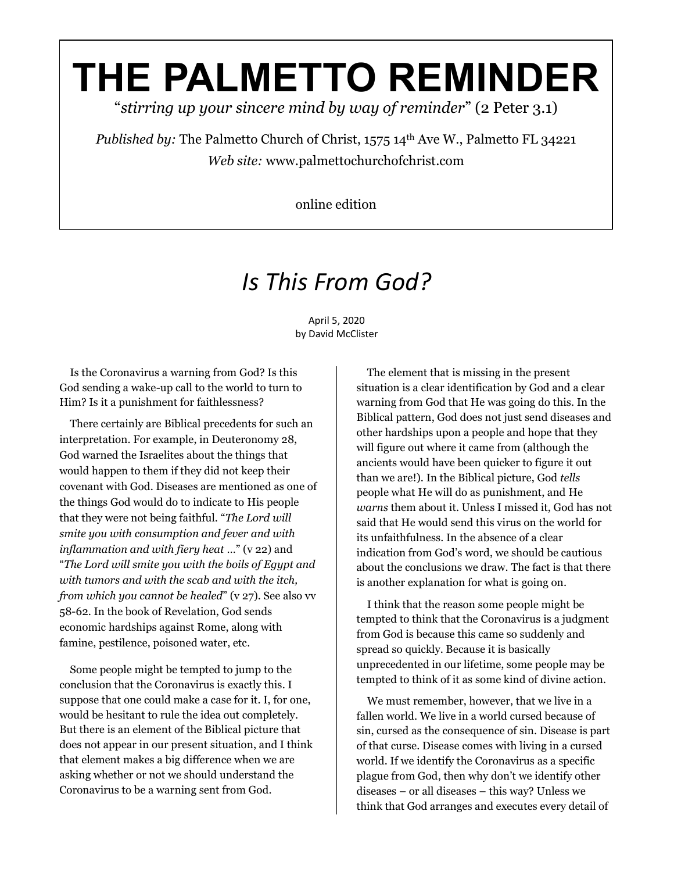## **THE PALMETTO REMINDER**

"*stirring up your sincere mind by way of reminder*" (2 Peter 3.1)

*Published by:* The Palmetto Church of Christ, 1575 14<sup>th</sup> Ave W., Palmetto FL 34221 *Web site:* www.palmettochurchofchrist.com

online edition

## *Is This From God?*

April 5, 2020 by David McClister

 Is the Coronavirus a warning from God? Is this God sending a wake-up call to the world to turn to Him? Is it a punishment for faithlessness?

 There certainly are Biblical precedents for such an interpretation. For example, in Deuteronomy 28, God warned the Israelites about the things that would happen to them if they did not keep their covenant with God. Diseases are mentioned as one of the things God would do to indicate to His people that they were not being faithful. "*The Lord will smite you with consumption and fever and with inflammation and with fiery heat* …" (v 22) and "*The Lord will smite you with the boils of Egypt and with tumors and with the scab and with the itch, from which you cannot be healed*" (v 27). See also vv 58-62. In the book of Revelation, God sends economic hardships against Rome, along with famine, pestilence, poisoned water, etc.

 Some people might be tempted to jump to the conclusion that the Coronavirus is exactly this. I suppose that one could make a case for it. I, for one, would be hesitant to rule the idea out completely. But there is an element of the Biblical picture that does not appear in our present situation, and I think that element makes a big difference when we are asking whether or not we should understand the Coronavirus to be a warning sent from God.

 The element that is missing in the present situation is a clear identification by God and a clear warning from God that He was going do this. In the Biblical pattern, God does not just send diseases and other hardships upon a people and hope that they will figure out where it came from (although the ancients would have been quicker to figure it out than we are!). In the Biblical picture, God *tells* people what He will do as punishment, and He *warns* them about it. Unless I missed it, God has not said that He would send this virus on the world for its unfaithfulness. In the absence of a clear indication from God's word, we should be cautious about the conclusions we draw. The fact is that there is another explanation for what is going on.

 I think that the reason some people might be tempted to think that the Coronavirus is a judgment from God is because this came so suddenly and spread so quickly. Because it is basically unprecedented in our lifetime, some people may be tempted to think of it as some kind of divine action.

 We must remember, however, that we live in a fallen world. We live in a world cursed because of sin, cursed as the consequence of sin. Disease is part of that curse. Disease comes with living in a cursed world. If we identify the Coronavirus as a specific plague from God, then why don't we identify other diseases – or all diseases – this way? Unless we think that God arranges and executes every detail of